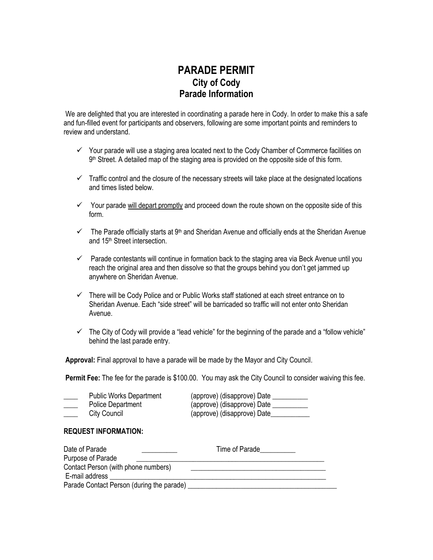## **PARADE PERMIT City of Cody Parade Information**

We are delighted that you are interested in coordinating a parade here in Cody. In order to make this a safe and fun-filled event for participants and observers, following are some important points and reminders to review and understand.

- $\checkmark$  Your parade will use a staging area located next to the Cody Chamber of Commerce facilities on 9<sup>th</sup> Street. A detailed map of the staging area is provided on the opposite side of this form.
- $\checkmark$  Traffic control and the closure of the necessary streets will take place at the designated locations and times listed below.
- $\checkmark$  Your parade will depart promptly and proceed down the route shown on the opposite side of this form.
- $\checkmark$  The Parade officially starts at 9<sup>th</sup> and Sheridan Avenue and officially ends at the Sheridan Avenue and 15th Street intersection.
- $\checkmark$  Parade contestants will continue in formation back to the staging area via Beck Avenue until you reach the original area and then dissolve so that the groups behind you don't get jammed up anywhere on Sheridan Avenue.
- $\checkmark$  There will be Cody Police and or Public Works staff stationed at each street entrance on to Sheridan Avenue. Each "side street" will be barricaded so traffic will not enter onto Sheridan Avenue.
- $\checkmark$  The City of Cody will provide a "lead vehicle" for the beginning of the parade and a "follow vehicle" behind the last parade entry.

**Approval:** Final approval to have a parade will be made by the Mayor and City Council.

**Permit Fee:** The fee for the parade is \$100.00. You may ask the City Council to consider waiving this fee.

| <b>Public Works Department</b> | (approve) (disapprove) Date |
|--------------------------------|-----------------------------|
| <b>Police Department</b>       | (approve) (disapprove) Date |
| City Council                   | (approve) (disapprove) Date |

## **REQUEST INFORMATION:**

| Date of Parade                            | Time of Parade |  |
|-------------------------------------------|----------------|--|
| Purpose of Parade                         |                |  |
| Contact Person (with phone numbers)       |                |  |
| E-mail address                            |                |  |
| Parade Contact Person (during the parade) |                |  |
|                                           |                |  |